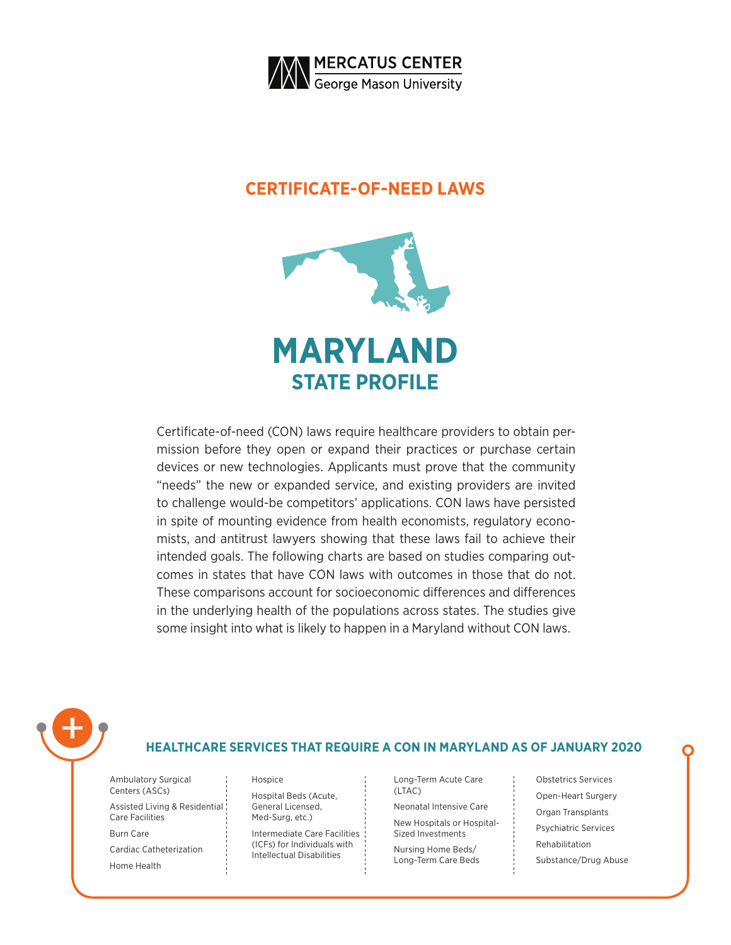

### **CERTIFICATE-OF-NEED LAWS**



Certificate-of-need (CON) laws require healthcare providers to obtain permission before they open or expand their practices or purchase certain devices or new technologies. Applicants must prove that the community "needs" the new or expanded service, and existing providers are invited to challenge would-be competitors' applications. CON laws have persisted in spite of mounting evidence from health economists, regulatory economists, and antitrust lawyers showing that these laws fail to achieve their intended goals. The following charts are based on studies comparing outcomes in states that have CON laws with outcomes in those that do not. These comparisons account for socioeconomic differences and differences in the underlying health of the populations across states. The studies give some insight into what is likely to happen in a Maryland without CON laws.



### **HEALTHCARE SERVICES THAT REQUIRE A CON IN MARYLAND AS OF JANUARY 2020**

| Ambulatory Surgical<br>Centers (ASCs)            |
|--------------------------------------------------|
| Assisted Living & Residential<br>Care Facilities |
| Burn Care                                        |
| Cardiac Catheterization                          |
| Home Health                                      |

#### Hospice

Hospital Beds (Acute, General Licensed, Med-Surg, etc.)

Intermediate Care Facilities (ICFs) for Individuals with Intellectual Disabilities

Long-Term Acute Care (LTAC)

Neonatal Intensive Care New Hospitals or Hospital-

Sized Investments Nursing Home Beds/ Long-Term Care Beds Obstetrics Services Open-Heart Surgery Organ Transplants Psychiatric Services Rehabilitation Substance/Drug Abuse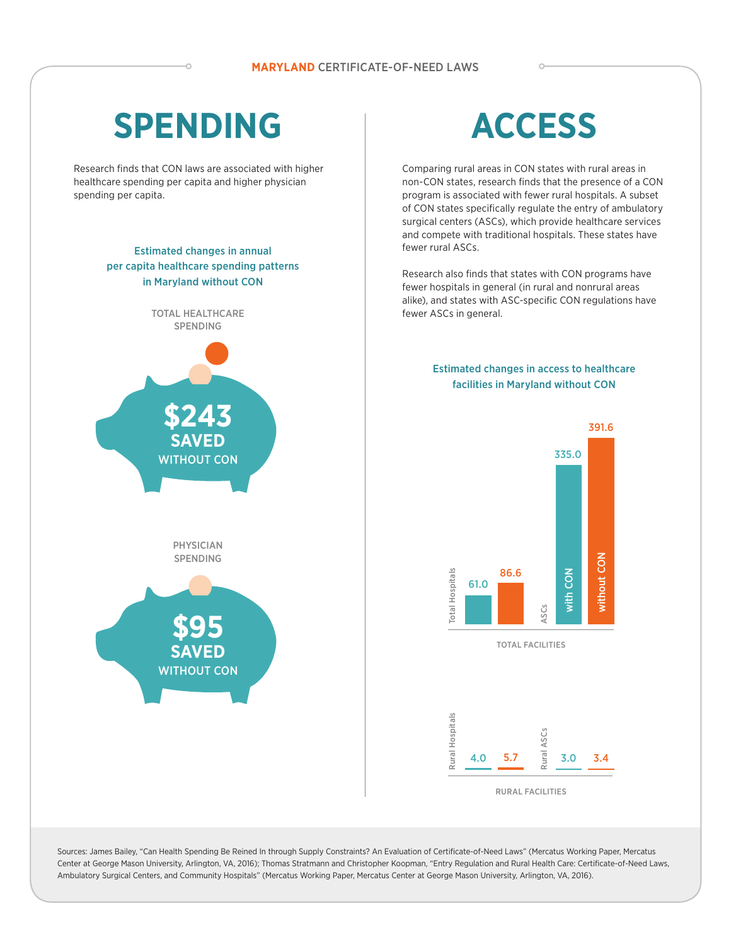# **SPENDING**

Research finds that CON laws are associated with higher healthcare spending per capita and higher physician spending per capita.

### Estimated changes in annual per capita healthcare spending patterns in Maryland without CON



# **ACCESS**

Comparing rural areas in CON states with rural areas in non-CON states, research finds that the presence of a CON program is associated with fewer rural hospitals. A subset of CON states specifically regulate the entry of ambulatory surgical centers (ASCs), which provide healthcare services and compete with traditional hospitals. These states have fewer rural ASCs.

Research also finds that states with CON programs have fewer hospitals in general (in rural and nonrural areas alike), and states with ASC-specific CON regulations have fewer ASCs in general.

#### Estimated changes in access to healthcare facilities in Maryland without CON



Sources: James Bailey, "Can Health Spending Be Reined In through Supply Constraints? An Evaluation of Certificate-of-Need Laws" (Mercatus Working Paper, Mercatus Center at George Mason University, Arlington, VA, 2016); Thomas Stratmann and Christopher Koopman, "Entry Regulation and Rural Health Care: Certificate-of-Need Laws, Ambulatory Surgical Centers, and Community Hospitals" (Mercatus Working Paper, Mercatus Center at George Mason University, Arlington, VA, 2016).